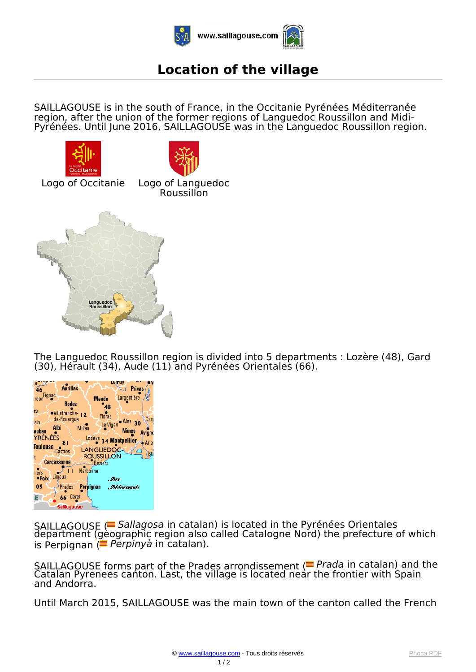

## **Location of the village**

*SAILLAGOUSE is in the south of France, in the Occitanie Pyrénées Méditerranée region, after the union of the former regions of Languedoc Roussillon and Midi-Pyrénées. Until June 2016, SAILLAGOUSE was in the Languedoc Roussillon region.*









*The Languedoc Roussillon region is divided into 5 departments : Lozère (48), Gard (30), Hérault (34), Aude (11) and Pyrénées Orientales (66).*



*SAILLAGOUSE ( Sallagosa in catalan) is located in the Pyrénées Orientales department (geographic region also called Catalogne Nord) the prefecture of which is Perpignan ( Perpinyà in catalan).*

*SAILLAGOUSE forms part of the Prades arrondissement ( Prada in catalan) and the Catalan Pyrenees canton. Last, the village is located near the frontier with Spain and Andorra.*

*Until March 2015, SAILLAGOUSE was the main town of the canton called the French*